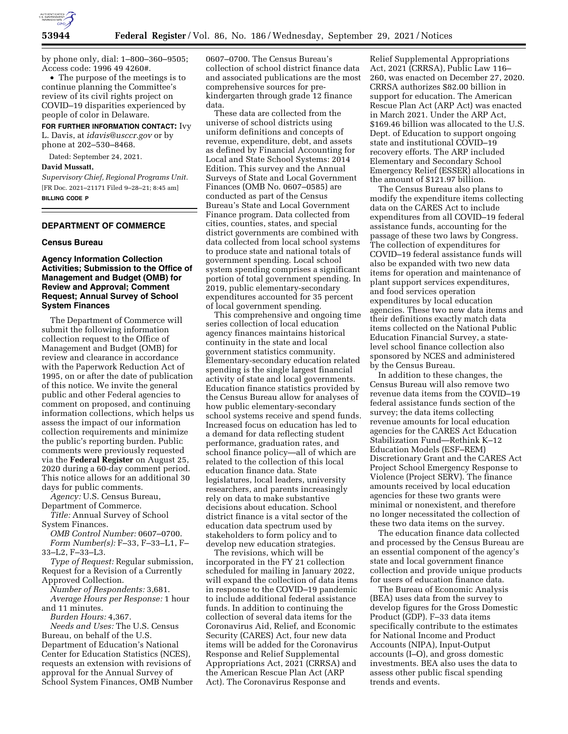

by phone only, dial: 1–800–360–9505; Access code: 1996 49 4260#.

• The purpose of the meetings is to continue planning the Committee's review of its civil rights project on COVID–19 disparities experienced by people of color in Delaware.

#### **FOR FURTHER INFORMATION CONTACT:** Ivy

L. Davis, at *[idavis@usccr.gov](mailto:idavis@usccr.gov)* or by phone at 202–530–8468.

Dated: September 24, 2021.

### **David Mussatt,**

*Supervisory Chief, Regional Programs Unit.*  [FR Doc. 2021–21171 Filed 9–28–21; 8:45 am] **BILLING CODE P** 

# **DEPARTMENT OF COMMERCE**

#### **Census Bureau**

## **Agency Information Collection Activities; Submission to the Office of Management and Budget (OMB) for Review and Approval; Comment Request; Annual Survey of School System Finances**

The Department of Commerce will submit the following information collection request to the Office of Management and Budget (OMB) for review and clearance in accordance with the Paperwork Reduction Act of 1995, on or after the date of publication of this notice. We invite the general public and other Federal agencies to comment on proposed, and continuing information collections, which helps us assess the impact of our information collection requirements and minimize the public's reporting burden. Public comments were previously requested via the **Federal Register** on August 25, 2020 during a 60-day comment period. This notice allows for an additional 30 days for public comments.

*Agency:* U.S. Census Bureau, Department of Commerce.

*Title:* Annual Survey of School System Finances.

*OMB Control Number:* 0607–0700. *Form Number(s):* F–33, F–33–L1, F– 33–L2, F–33–L3.

*Type of Request:* Regular submission, Request for a Revision of a Currently Approved Collection.

*Number of Respondents:* 3,681. *Average Hours per Response:* 1 hour

and 11 minutes. *Burden Hours:* 4,367.

*Needs and Uses:* The U.S. Census Bureau, on behalf of the U.S. Department of Education's National Center for Education Statistics (NCES), requests an extension with revisions of approval for the Annual Survey of School System Finances, OMB Number 0607–0700. The Census Bureau's collection of school district finance data and associated publications are the most comprehensive sources for prekindergarten through grade 12 finance data.

These data are collected from the universe of school districts using uniform definitions and concepts of revenue, expenditure, debt, and assets as defined by Financial Accounting for Local and State School Systems: 2014 Edition. This survey and the Annual Surveys of State and Local Government Finances (OMB No. 0607–0585) are conducted as part of the Census Bureau's State and Local Government Finance program. Data collected from cities, counties, states, and special district governments are combined with data collected from local school systems to produce state and national totals of government spending. Local school system spending comprises a significant portion of total government spending. In 2019, public elementary-secondary expenditures accounted for 35 percent of local government spending.

This comprehensive and ongoing time series collection of local education agency finances maintains historical continuity in the state and local government statistics community. Elementary-secondary education related spending is the single largest financial activity of state and local governments. Education finance statistics provided by the Census Bureau allow for analyses of how public elementary-secondary school systems receive and spend funds. Increased focus on education has led to a demand for data reflecting student performance, graduation rates, and school finance policy—all of which are related to the collection of this local education finance data. State legislatures, local leaders, university researchers, and parents increasingly rely on data to make substantive decisions about education. School district finance is a vital sector of the education data spectrum used by stakeholders to form policy and to develop new education strategies.

The revisions, which will be incorporated in the FY 21 collection scheduled for mailing in January 2022, will expand the collection of data items in response to the COVID–19 pandemic to include additional federal assistance funds. In addition to continuing the collection of several data items for the Coronavirus Aid, Relief, and Economic Security (CARES) Act, four new data items will be added for the Coronavirus Response and Relief Supplemental Appropriations Act, 2021 (CRRSA) and the American Rescue Plan Act (ARP Act). The Coronavirus Response and

Relief Supplemental Appropriations Act, 2021 (CRRSA), Public Law 116– 260, was enacted on December 27, 2020. CRRSA authorizes \$82.00 billion in support for education. The American Rescue Plan Act (ARP Act) was enacted in March 2021. Under the ARP Act, \$169.46 billion was allocated to the U.S. Dept. of Education to support ongoing state and institutional COVID–19 recovery efforts. The ARP included Elementary and Secondary School Emergency Relief (ESSER) allocations in the amount of \$121.97 billion.

The Census Bureau also plans to modify the expenditure items collecting data on the CARES Act to include expenditures from all COVID–19 federal assistance funds, accounting for the passage of these two laws by Congress. The collection of expenditures for COVID–19 federal assistance funds will also be expanded with two new data items for operation and maintenance of plant support services expenditures, and food services operation expenditures by local education agencies. These two new data items and their definitions exactly match data items collected on the National Public Education Financial Survey, a statelevel school finance collection also sponsored by NCES and administered by the Census Bureau.

In addition to these changes, the Census Bureau will also remove two revenue data items from the COVID–19 federal assistance funds section of the survey; the data items collecting revenue amounts for local education agencies for the CARES Act Education Stabilization Fund—Rethink K–12 Education Models (ESF–REM) Discretionary Grant and the CARES Act Project School Emergency Response to Violence (Project SERV). The finance amounts received by local education agencies for these two grants were minimal or nonexistent, and therefore no longer necessitated the collection of these two data items on the survey.

The education finance data collected and processed by the Census Bureau are an essential component of the agency's state and local government finance collection and provide unique products for users of education finance data.

The Bureau of Economic Analysis (BEA) uses data from the survey to develop figures for the Gross Domestic Product (GDP). F–33 data items specifically contribute to the estimates for National Income and Product Accounts (NIPA), Input-Output accounts (I–O), and gross domestic investments. BEA also uses the data to assess other public fiscal spending trends and events.